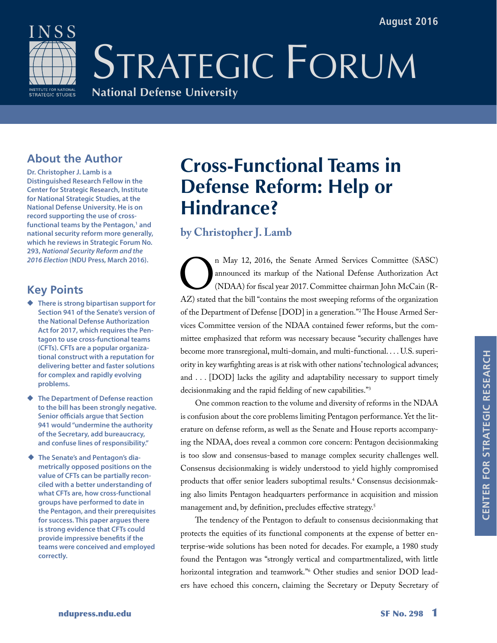

# STRATEGIC FORUM

#### **National Defense University**

### **About the Author**

**Dr. Christopher J. Lamb is a Distinguished Research Fellow in the Center for Strategic Research, Institute for National Strategic Studies, at the National Defense University. He is on record supporting the use of cross**functional teams by the Pentagon,<sup>1</sup> and **national security reform more generally, which he reviews in Strategic Forum No. 293,** *National Security Reform and the 2016 Election* **(NDU Press, March 2016).**

#### **Key Points**

- ◆ **There is strong bipartisan support for Section 941 of the Senate's version of the National Defense Authorization Act for 2017, which requires the Pentagon to use cross-functional teams (CFTs). CFTs are a popular organizational construct with a reputation for delivering better and faster solutions for complex and rapidly evolving problems.**
- ◆ **The Department of Defense reaction to the bill has been strongly negative. Senior officials argue that Section 941 would "undermine the authority of the Secretary, add bureaucracy, and confuse lines of responsibility."**
- ◆ The Senate's and Pentagon's dia**metrically opposed positions on the value of CFTs can be partially reconciled with a better understanding of what CFTs are, how cross-functional groups have performed to date in the Pentagon, and their prerequisites for success. This paper argues there is strong evidence that CFTs could provide impressive benefits if the teams were conceived and employed correctly.**

## **Cross-Functional Teams in Defense Reform: Help or Hindrance?**

#### **by Christopher J. Lamb**

n May 12, 2016, the Senate Armed Services Committee (SASC)<br>
announced its markup of the National Defense Authorization Act<br>
(NDAA) for fiscal year 2017. Committee chairman John McCain (R-<br>
AZ) stated that the bill "contain announced its markup of the National Defense Authorization Act (NDAA) for fiscal year 2017. Committee chairman John McCain (Rof the Department of Defense [DOD] in a generation."2 The House Armed Services Committee version of the NDAA contained fewer reforms, but the committee emphasized that reform was necessary because "security challenges have become more transregional, multi-domain, and multi-functional. . . . U.S. superiority in key warfighting areas is at risk with other nations' technological advances; and . . . [DOD] lacks the agility and adaptability necessary to support timely decisionmaking and the rapid fielding of new capabilities."<sup>3</sup>

One common reaction to the volume and diversity of reforms in the NDAA is confusion about the core problems limiting Pentagon performance. Yet the literature on defense reform, as well as the Senate and House reports accompanying the NDAA, does reveal a common core concern: Pentagon decisionmaking is too slow and consensus-based to manage complex security challenges well. Consensus decisionmaking is widely understood to yield highly compromised products that offer senior leaders suboptimal results.4 Consensus decisionmaking also limits Pentagon headquarters performance in acquisition and mission management and, by definition, precludes effective strategy.<sup>5</sup>

The tendency of the Pentagon to default to consensus decisionmaking that protects the equities of its functional components at the expense of better enterprise-wide solutions has been noted for decades. For example, a 1980 study found the Pentagon was "strongly vertical and compartmentalized, with little horizontal integration and teamwork."6 Other studies and senior DOD leaders have echoed this concern, claiming the Secretary or Deputy Secretary of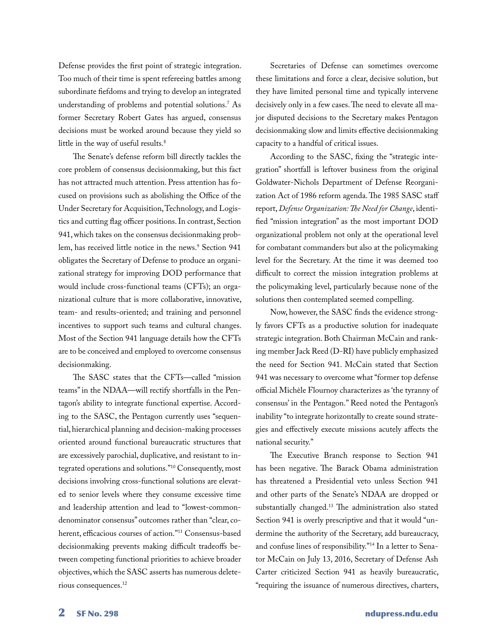Defense provides the first point of strategic integration. Too much of their time is spent refereeing battles among subordinate fiefdoms and trying to develop an integrated understanding of problems and potential solutions.7 As former Secretary Robert Gates has argued, consensus decisions must be worked around because they yield so little in the way of useful results.<sup>8</sup>

The Senate's defense reform bill directly tackles the core problem of consensus decisionmaking, but this fact has not attracted much attention. Press attention has focused on provisions such as abolishing the Office of the Under Secretary for Acquisition, Technology, and Logistics and cutting flag officer positions. In contrast, Section 941, which takes on the consensus decisionmaking problem, has received little notice in the news.<sup>9</sup> Section 941 obligates the Secretary of Defense to produce an organizational strategy for improving DOD performance that would include cross-functional teams (CFTs); an organizational culture that is more collaborative, innovative, team- and results-oriented; and training and personnel incentives to support such teams and cultural changes. Most of the Section 941 language details how the CFTs are to be conceived and employed to overcome consensus decisionmaking.

The SASC states that the CFTs—called "mission teams" in the NDAA—will rectify shortfalls in the Pentagon's ability to integrate functional expertise. According to the SASC, the Pentagon currently uses "sequential, hierarchical planning and decision-making processes oriented around functional bureaucratic structures that are excessively parochial, duplicative, and resistant to integrated operations and solutions."10 Consequently, most decisions involving cross-functional solutions are elevated to senior levels where they consume excessive time and leadership attention and lead to "lowest-commondenominator consensus" outcomes rather than "clear, coherent, efficacious courses of action."11 Consensus-based decisionmaking prevents making difficult tradeoffs between competing functional priorities to achieve broader objectives, which the SASC asserts has numerous deleterious consequences.12

Secretaries of Defense can sometimes overcome these limitations and force a clear, decisive solution, but they have limited personal time and typically intervene decisively only in a few cases. The need to elevate all major disputed decisions to the Secretary makes Pentagon decisionmaking slow and limits effective decisionmaking capacity to a handful of critical issues.

According to the SASC, fixing the "strategic integration" shortfall is leftover business from the original Goldwater-Nichols Department of Defense Reorganization Act of 1986 reform agenda. The 1985 SASC staff report, *Defense Organization: The Need for Change*, identified "mission integration" as the most important DOD organizational problem not only at the operational level for combatant commanders but also at the policymaking level for the Secretary. At the time it was deemed too difficult to correct the mission integration problems at the policymaking level, particularly because none of the solutions then contemplated seemed compelling.

Now, however, the SASC finds the evidence strongly favors CFTs as a productive solution for inadequate strategic integration. Both Chairman McCain and ranking member Jack Reed (D-RI) have publicly emphasized the need for Section 941. McCain stated that Section 941 was necessary to overcome what "former top defense official Michèle Flournoy characterizes as 'the tyranny of consensus' in the Pentagon." Reed noted the Pentagon's inability "to integrate horizontally to create sound strategies and effectively execute missions acutely affects the national security."

The Executive Branch response to Section 941 has been negative. The Barack Obama administration has threatened a Presidential veto unless Section 941 and other parts of the Senate's NDAA are dropped or substantially changed.13 The administration also stated Section 941 is overly prescriptive and that it would "undermine the authority of the Secretary, add bureaucracy, and confuse lines of responsibility."14 In a letter to Senator McCain on July 13, 2016, Secretary of Defense Ash Carter criticized Section 941 as heavily bureaucratic, "requiring the issuance of numerous directives, charters,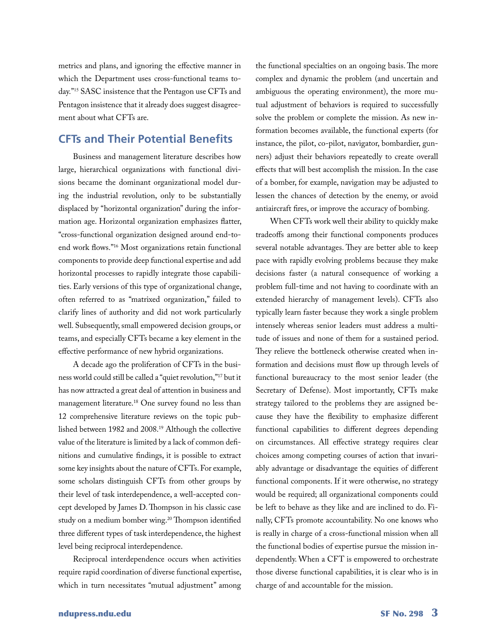metrics and plans, and ignoring the effective manner in which the Department uses cross-functional teams today."<sup>15</sup> SASC insistence that the Pentagon use CFTs and Pentagon insistence that it already does suggest disagreement about what CFTs are.

#### **CFTs and Their Potential Benefits**

Business and management literature describes how large, hierarchical organizations with functional divisions became the dominant organizational model during the industrial revolution, only to be substantially displaced by "horizontal organization" during the information age. Horizontal organization emphasizes flatter, "cross-functional organization designed around end-toend work flows."16 Most organizations retain functional components to provide deep functional expertise and add horizontal processes to rapidly integrate those capabilities. Early versions of this type of organizational change, often referred to as "matrixed organization," failed to clarify lines of authority and did not work particularly well. Subsequently, small empowered decision groups, or teams, and especially CFTs became a key element in the effective performance of new hybrid organizations.

A decade ago the proliferation of CFTs in the business world could still be called a "quiet revolution,"17 but it has now attracted a great deal of attention in business and management literature.18 One survey found no less than 12 comprehensive literature reviews on the topic published between 1982 and 2008.19 Although the collective value of the literature is limited by a lack of common definitions and cumulative findings, it is possible to extract some key insights about the nature of CFTs. For example, some scholars distinguish CFTs from other groups by their level of task interdependence, a well-accepted concept developed by James D. Thompson in his classic case study on a medium bomber wing.<sup>20</sup> Thompson identified three different types of task interdependence, the highest level being reciprocal interdependence.

Reciprocal interdependence occurs when activities require rapid coordination of diverse functional expertise, which in turn necessitates "mutual adjustment" among

the functional specialties on an ongoing basis. The more complex and dynamic the problem (and uncertain and ambiguous the operating environment), the more mutual adjustment of behaviors is required to successfully solve the problem or complete the mission. As new information becomes available, the functional experts (for instance, the pilot, co-pilot, navigator, bombardier, gunners) adjust their behaviors repeatedly to create overall effects that will best accomplish the mission. In the case of a bomber, for example, navigation may be adjusted to lessen the chances of detection by the enemy, or avoid antiaircraft fires, or improve the accuracy of bombing.

When CFTs work well their ability to quickly make tradeoffs among their functional components produces several notable advantages. They are better able to keep pace with rapidly evolving problems because they make decisions faster (a natural consequence of working a problem full-time and not having to coordinate with an extended hierarchy of management levels). CFTs also typically learn faster because they work a single problem intensely whereas senior leaders must address a multitude of issues and none of them for a sustained period. They relieve the bottleneck otherwise created when information and decisions must flow up through levels of functional bureaucracy to the most senior leader (the Secretary of Defense). Most importantly, CFTs make strategy tailored to the problems they are assigned because they have the flexibility to emphasize different functional capabilities to different degrees depending on circumstances. All effective strategy requires clear choices among competing courses of action that invariably advantage or disadvantage the equities of different functional components. If it were otherwise, no strategy would be required; all organizational components could be left to behave as they like and are inclined to do. Finally, CFTs promote accountability. No one knows who is really in charge of a cross-functional mission when all the functional bodies of expertise pursue the mission independently. When a CFT is empowered to orchestrate those diverse functional capabilities, it is clear who is in charge of and accountable for the mission.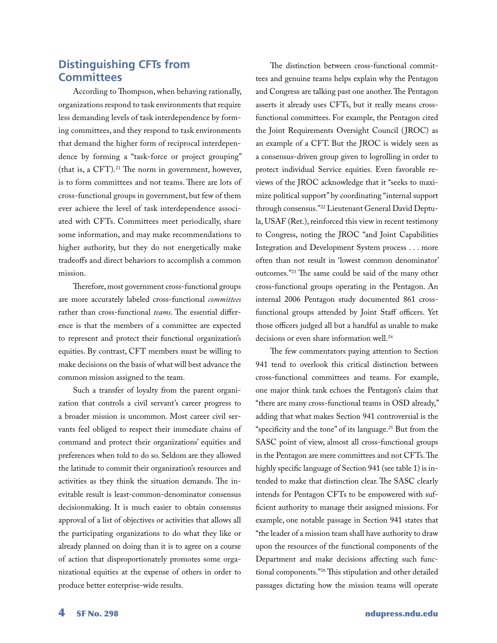#### **Distinguishing CFTs from Committees**

According to Thompson, when behaving rationally, organizations respond to task environments that require less demanding levels of task interdependence by forming committees, and they respond to task environments that demand the higher form of reciprocal interdependence by forming a "task-force or project grouping" (that is, a CFT).21 The norm in government, however, is to form committees and not teams. There are lots of cross-functional groups in government, but few of them ever achieve the level of task interdependence associated with CFTs. Committees meet periodically, share some information, and may make recommendations to higher authority, but they do not energetically make tradeoffs and direct behaviors to accomplish a common mission.

Therefore, most government cross-functional groups are more accurately labeled cross-functional *committees* rather than cross-functional *teams*. The essential difference is that the members of a committee are expected to represent and protect their functional organization's equities. By contrast, CFT members must be willing to make decisions on the basis of what will best advance the common mission assigned to the team.

Such a transfer of loyalty from the parent organization that controls a civil servant's career progress to a broader mission is uncommon. Most career civil servants feel obliged to respect their immediate chains of command and protect their organizations' equities and preferences when told to do so. Seldom are they allowed the latitude to commit their organization's resources and activities as they think the situation demands. The inevitable result is least-common-denominator consensus decisionmaking. It is much easier to obtain consensus approval of a list of objectives or activities that allows all the participating organizations to do what they like or already planned on doing than it is to agree on a course of action that disproportionately promotes some organizational equities at the expense of others in order to produce better enterprise-wide results.

The distinction between cross-functional committees and genuine teams helps explain why the Pentagon and Congress are talking past one another. The Pentagon asserts it already uses CFTs, but it really means crossfunctional committees. For example, the Pentagon cited the Joint Requirements Oversight Council ( JROC) as an example of a CFT. But the JROC is widely seen as a consensus-driven group given to logrolling in order to protect individual Service equities. Even favorable reviews of the JROC acknowledge that it "seeks to maximize political support" by coordinating "internal support through consensus."22 Lieutenant General David Deptula, USAF (Ret.), reinforced this view in recent testimony to Congress, noting the JROC "and Joint Capabilities Integration and Development System process . . . more often than not result in 'lowest common denominator' outcomes."23 The same could be said of the many other cross-functional groups operating in the Pentagon. An internal 2006 Pentagon study documented 861 crossfunctional groups attended by Joint Staff officers. Yet those officers judged all but a handful as unable to make decisions or even share information well.<sup>24</sup>

The few commentators paying attention to Section 941 tend to overlook this critical distinction between cross-functional committees and teams. For example, one major think tank echoes the Pentagon's claim that "there are many cross-functional teams in OSD already," adding that what makes Section 941 controversial is the "specificity and the tone" of its language.25 But from the SASC point of view, almost all cross-functional groups in the Pentagon are mere committees and not CFTs. The highly specific language of Section 941 (see table 1) is intended to make that distinction clear. The SASC clearly intends for Pentagon CFTs to be empowered with sufficient authority to manage their assigned missions. For example, one notable passage in Section 941 states that "the leader of a mission team shall have authority to draw upon the resources of the functional components of the Department and make decisions affecting such functional components."<sup>26</sup> This stipulation and other detailed passages dictating how the mission teams will operate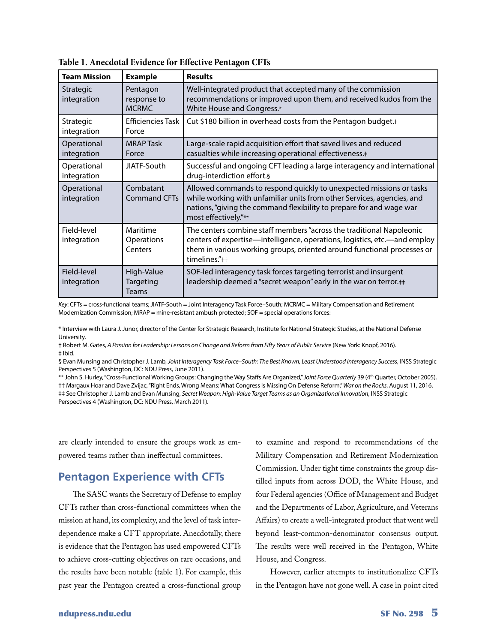| <b>Team Mission</b>        | <b>Example</b>                          | <b>Results</b>                                                                                                                                                                                                                                |  |
|----------------------------|-----------------------------------------|-----------------------------------------------------------------------------------------------------------------------------------------------------------------------------------------------------------------------------------------------|--|
| Strategic<br>integration   | Pentagon<br>response to<br><b>MCRMC</b> | Well-integrated product that accepted many of the commission<br>recommendations or improved upon them, and received kudos from the<br>White House and Congress.*                                                                              |  |
| Strategic<br>integration   | <b>Efficiencies Task</b><br>Force       | Cut \$180 billion in overhead costs from the Pentagon budget.+                                                                                                                                                                                |  |
| Operational<br>integration | <b>MRAP</b> Task<br>Force               | Large-scale rapid acquisition effort that saved lives and reduced<br>casualties while increasing operational effectiveness.#                                                                                                                  |  |
| Operational<br>integration | JIATF-South                             | Successful and ongoing CFT leading a large interagency and international<br>drug-interdiction effort.§                                                                                                                                        |  |
| Operational<br>integration | Combatant<br><b>Command CFTs</b>        | Allowed commands to respond quickly to unexpected missions or tasks<br>while working with unfamiliar units from other Services, agencies, and<br>nations, "giving the command flexibility to prepare for and wage war<br>most effectively."** |  |
| Field-level<br>integration | Maritime<br>Operations<br>Centers       | The centers combine staff members "across the traditional Napoleonic<br>centers of expertise—intelligence, operations, logistics, etc.—and employ<br>them in various working groups, oriented around functional processes or<br>timelines."++ |  |
| Field-level<br>integration | High-Value<br><b>Targeting</b><br>Teams | SOF-led interagency task forces targeting terrorist and insurgent<br>leadership deemed a "secret weapon" early in the war on terror.##                                                                                                        |  |

**Table 1. Anecdotal Evidence for Effective Pentagon CFTs**

*Key*: CFTs = cross-functional teams; JIATF-South = Joint Interagency Task Force–South; MCRMC = Military Compensation and Retirement Modernization Commission; MRAP = mine-resistant ambush protected; SOF = special operations forces:

\* Interview with Laura J. Junor, director of the Center for Strategic Research, Institute for National Strategic Studies, at the National Defense University.

† Robert M. Gates, *A Passion for Leadership: Lessons on Change and Reform from Fifty Years of Public Service* (New York: Knopf, 2016). ‡ Ibid.

§ Evan Munsing and Christopher J. Lamb, *Joint Interagency Task Force–South: The Best Known, Least Understood Interagency Success*, INSS Strategic Perspectives 5 (Washington, DC: NDU Press, June 2011).

\*\* John S. Hurley, "Cross-Functional Working Groups: Changing the Way Staffs Are Organized," Joint Force Quarterly 39 (4th Quarter, October 2005). †† Margaux Hoar and Dave Zvijac, "Right Ends, Wrong Means: What Congress Is Missing On Defense Reform," *War on the Rocks*, August 11, 2016. ‡‡ See Christopher J. Lamb and Evan Munsing, *Secret Weapon: High-Value Target Teams as an Organizational Innovation*, INSS Strategic Perspectives 4 (Washington, DC: NDU Press, March 2011).

are clearly intended to ensure the groups work as empowered teams rather than ineffectual committees.

#### **Pentagon Experience with CFTs**

The SASC wants the Secretary of Defense to employ CFTs rather than cross-functional committees when the mission at hand, its complexity, and the level of task interdependence make a CFT appropriate. Anecdotally, there is evidence that the Pentagon has used empowered CFTs to achieve cross-cutting objectives on rare occasions, and the results have been notable (table 1). For example, this past year the Pentagon created a cross-functional group

to examine and respond to recommendations of the Military Compensation and Retirement Modernization Commission. Under tight time constraints the group distilled inputs from across DOD, the White House, and four Federal agencies (Office of Management and Budget and the Departments of Labor, Agriculture, and Veterans Affairs) to create a well-integrated product that went well beyond least-common-denominator consensus output. The results were well received in the Pentagon, White House, and Congress.

However, earlier attempts to institutionalize CFTs in the Pentagon have not gone well. A case in point cited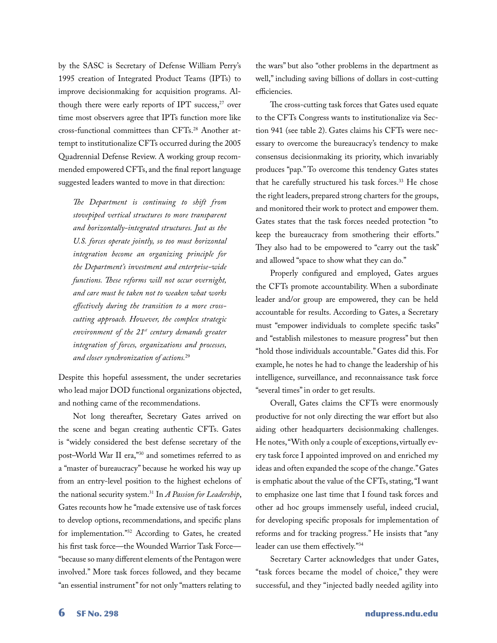by the SASC is Secretary of Defense William Perry's 1995 creation of Integrated Product Teams (IPTs) to improve decisionmaking for acquisition programs. Although there were early reports of IPT success, $27$  over time most observers agree that IPTs function more like cross-functional committees than CFTs.<sup>28</sup> Another attempt to institutionalize CFTs occurred during the 2005 Quadrennial Defense Review. A working group recommended empowered CFTs, and the final report language suggested leaders wanted to move in that direction:

*The Department is continuing to shift from stovepiped vertical structures to more transparent and horizontally-integrated structures. Just as the U.S. forces operate jointly, so too must horizontal integration become an organizing principle for the Department's investment and enterprise-wide functions. These reforms will not occur overnight, and care must be taken not to weaken what works effectively during the transition to a more crosscutting approach. However, the complex strategic environment of the 21st century demands greater integration of forces, organizations and processes, and closer synchronization of actions.*<sup>29</sup>

Despite this hopeful assessment, the under secretaries who lead major DOD functional organizations objected, and nothing came of the recommendations.

Not long thereafter, Secretary Gates arrived on the scene and began creating authentic CFTs. Gates is "widely considered the best defense secretary of the post–World War II era,"30 and sometimes referred to as a "master of bureaucracy" because he worked his way up from an entry-level position to the highest echelons of the national security system.<sup>31</sup> In *A Passion for Leadership*, Gates recounts how he "made extensive use of task forces to develop options, recommendations, and specific plans for implementation."<sup>32</sup> According to Gates, he created his first task force—the Wounded Warrior Task Force— "because so many different elements of the Pentagon were involved." More task forces followed, and they became "an essential instrument" for not only "matters relating to

the wars" but also "other problems in the department as well," including saving billions of dollars in cost-cutting efficiencies.

The cross-cutting task forces that Gates used equate to the CFTs Congress wants to institutionalize via Section 941 (see table 2). Gates claims his CFTs were necessary to overcome the bureaucracy's tendency to make consensus decisionmaking its priority, which invariably produces "pap." To overcome this tendency Gates states that he carefully structured his task forces.<sup>33</sup> He chose the right leaders, prepared strong charters for the groups, and monitored their work to protect and empower them. Gates states that the task forces needed protection "to keep the bureaucracy from smothering their efforts." They also had to be empowered to "carry out the task" and allowed "space to show what they can do."

Properly configured and employed, Gates argues the CFTs promote accountability. When a subordinate leader and/or group are empowered, they can be held accountable for results. According to Gates, a Secretary must "empower individuals to complete specific tasks" and "establish milestones to measure progress" but then "hold those individuals accountable." Gates did this. For example, he notes he had to change the leadership of his intelligence, surveillance, and reconnaissance task force "several times" in order to get results.

Overall, Gates claims the CFTs were enormously productive for not only directing the war effort but also aiding other headquarters decisionmaking challenges. He notes, "With only a couple of exceptions, virtually every task force I appointed improved on and enriched my ideas and often expanded the scope of the change." Gates is emphatic about the value of the CFTs, stating, "I want to emphasize one last time that I found task forces and other ad hoc groups immensely useful, indeed crucial, for developing specific proposals for implementation of reforms and for tracking progress." He insists that "any leader can use them effectively."<sup>34</sup>

Secretary Carter acknowledges that under Gates, "task forces became the model of choice," they were successful, and they "injected badly needed agility into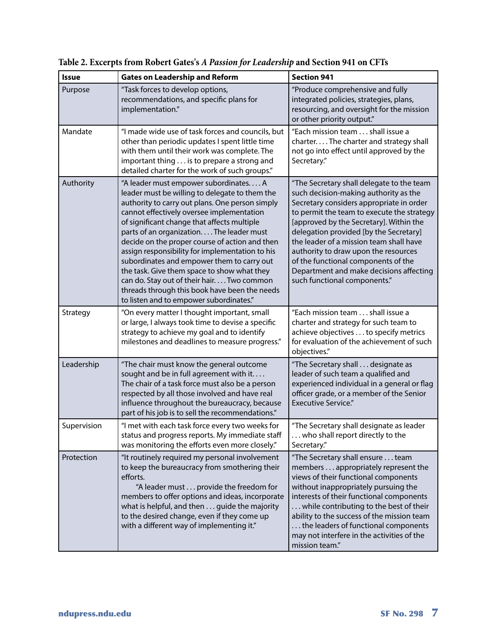| <b>Issue</b> | <b>Gates on Leadership and Reform</b>                                                                                                                                                                                                                                                                                                                                                                                                                                                                                                                                                                                         | <b>Section 941</b>                                                                                                                                                                                                                                                                                                                                                                                                                                                     |
|--------------|-------------------------------------------------------------------------------------------------------------------------------------------------------------------------------------------------------------------------------------------------------------------------------------------------------------------------------------------------------------------------------------------------------------------------------------------------------------------------------------------------------------------------------------------------------------------------------------------------------------------------------|------------------------------------------------------------------------------------------------------------------------------------------------------------------------------------------------------------------------------------------------------------------------------------------------------------------------------------------------------------------------------------------------------------------------------------------------------------------------|
| Purpose      | "Task forces to develop options,<br>recommendations, and specific plans for<br>implementation."                                                                                                                                                                                                                                                                                                                                                                                                                                                                                                                               | "Produce comprehensive and fully<br>integrated policies, strategies, plans,<br>resourcing, and oversight for the mission<br>or other priority output."                                                                                                                                                                                                                                                                                                                 |
| Mandate      | "I made wide use of task forces and councils, but<br>other than periodic updates I spent little time<br>with them until their work was complete. The<br>important thing is to prepare a strong and<br>detailed charter for the work of such groups."                                                                                                                                                                                                                                                                                                                                                                          | "Each mission team shall issue a<br>charterThe charter and strategy shall<br>not go into effect until approved by the<br>Secretary."                                                                                                                                                                                                                                                                                                                                   |
| Authority    | "A leader must empower subordinates A<br>leader must be willing to delegate to them the<br>authority to carry out plans. One person simply<br>cannot effectively oversee implementation<br>of significant change that affects multiple<br>parts of an organization The leader must<br>decide on the proper course of action and then<br>assign responsibility for implementation to his<br>subordinates and empower them to carry out<br>the task. Give them space to show what they<br>can do. Stay out of their hair Two common<br>threads through this book have been the needs<br>to listen and to empower subordinates." | "The Secretary shall delegate to the team<br>such decision-making authority as the<br>Secretary considers appropriate in order<br>to permit the team to execute the strategy<br>[approved by the Secretary]. Within the<br>delegation provided [by the Secretary]<br>the leader of a mission team shall have<br>authority to draw upon the resources<br>of the functional components of the<br>Department and make decisions affecting<br>such functional components." |
| Strategy     | "On every matter I thought important, small<br>or large, I always took time to devise a specific<br>strategy to achieve my goal and to identify<br>milestones and deadlines to measure progress."                                                                                                                                                                                                                                                                                                                                                                                                                             | "Each mission team shall issue a<br>charter and strategy for such team to<br>achieve objectives to specify metrics<br>for evaluation of the achievement of such<br>objectives."                                                                                                                                                                                                                                                                                        |
| Leadership   | "The chair must know the general outcome<br>sought and be in full agreement with it<br>The chair of a task force must also be a person<br>respected by all those involved and have real<br>influence throughout the bureaucracy, because<br>part of his job is to sell the recommendations."                                                                                                                                                                                                                                                                                                                                  | "The Secretary shall designate as<br>leader of such team a qualified and<br>experienced individual in a general or flag<br>officer grade, or a member of the Senior<br><b>Executive Service."</b>                                                                                                                                                                                                                                                                      |
| Supervision  | "I met with each task force every two weeks for<br>status and progress reports. My immediate staff<br>was monitoring the efforts even more closely."                                                                                                                                                                                                                                                                                                                                                                                                                                                                          | "The Secretary shall designate as leader<br>who shall report directly to the<br>Secretary."                                                                                                                                                                                                                                                                                                                                                                            |
| Protection   | "It routinely required my personal involvement<br>to keep the bureaucracy from smothering their<br>efforts.<br>"A leader must provide the freedom for<br>members to offer options and ideas, incorporate<br>what is helpful, and then guide the majority<br>to the desired change, even if they come up<br>with a different way of implementing it."                                                                                                                                                                                                                                                                          | "The Secretary shall ensure team<br>members appropriately represent the<br>views of their functional components<br>without inappropriately pursuing the<br>interests of their functional components<br>while contributing to the best of their<br>ability to the success of the mission team<br>the leaders of functional components<br>may not interfere in the activities of the<br>mission team."                                                                   |

**Table 2. Excerpts from Robert Gates's** *A Passion for Leadership* **and Section 941 on CFTs**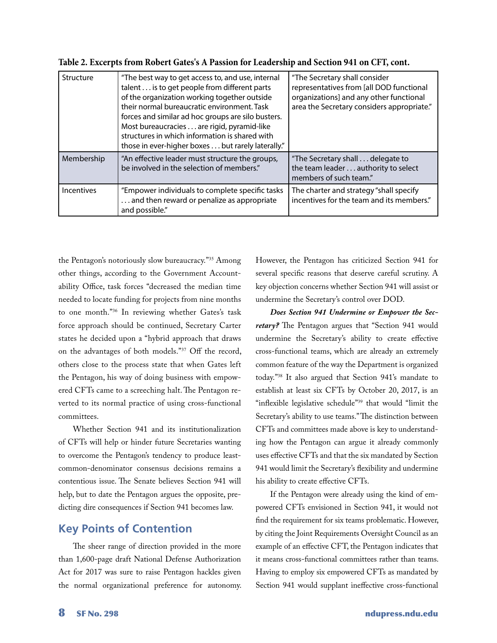| Structure         | "The best way to get access to, and use, internal<br>talent is to get people from different parts<br>of the organization working together outside<br>their normal bureaucratic environment. Task<br>forces and similar ad hoc groups are silo busters.<br>Most bureaucracies are rigid, pyramid-like<br>structures in which information is shared with<br>those in ever-higher boxes but rarely laterally." | "The Secretary shall consider<br>representatives from [all DOD functional<br>organizations] and any other functional<br>area the Secretary considers appropriate." |
|-------------------|-------------------------------------------------------------------------------------------------------------------------------------------------------------------------------------------------------------------------------------------------------------------------------------------------------------------------------------------------------------------------------------------------------------|--------------------------------------------------------------------------------------------------------------------------------------------------------------------|
| Membership        | "An effective leader must structure the groups,<br>be involved in the selection of members."                                                                                                                                                                                                                                                                                                                | "The Secretary shall delegate to<br>the team leader authority to select<br>members of such team."                                                                  |
| <b>Incentives</b> | "Empower individuals to complete specific tasks<br>and then reward or penalize as appropriate<br>and possible."                                                                                                                                                                                                                                                                                             | The charter and strategy "shall specify<br>incentives for the team and its members."                                                                               |

**Table 2. Excerpts from Robert Gates's A Passion for Leadership and Section 941 on CFT, cont.**

the Pentagon's notoriously slow bureaucracy."<sup>35</sup> Among other things, according to the Government Accountability Office, task forces "decreased the median time needed to locate funding for projects from nine months to one month."<sup>36</sup> In reviewing whether Gates's task force approach should be continued, Secretary Carter states he decided upon a "hybrid approach that draws on the advantages of both models."<sup>37</sup> Off the record, others close to the process state that when Gates left the Pentagon, his way of doing business with empowered CFTs came to a screeching halt. The Pentagon reverted to its normal practice of using cross-functional committees.

Whether Section 941 and its institutionalization of CFTs will help or hinder future Secretaries wanting to overcome the Pentagon's tendency to produce leastcommon-denominator consensus decisions remains a contentious issue. The Senate believes Section 941 will help, but to date the Pentagon argues the opposite, predicting dire consequences if Section 941 becomes law.

#### **Key Points of Contention**

The sheer range of direction provided in the more than 1,600-page draft National Defense Authorization Act for 2017 was sure to raise Pentagon hackles given the normal organizational preference for autonomy. However, the Pentagon has criticized Section 941 for several specific reasons that deserve careful scrutiny. A key objection concerns whether Section 941 will assist or undermine the Secretary's control over DOD.

*Does Section 941 Undermine or Empower the Secretary?* The Pentagon argues that "Section 941 would undermine the Secretary's ability to create effective cross-functional teams, which are already an extremely common feature of the way the Department is organized today."<sup>38</sup> It also argued that Section 941's mandate to establish at least six CFTs by October 20, 2017, is an "inflexible legislative schedule"<sup>39</sup> that would "limit the Secretary's ability to use teams." The distinction between CFTs and committees made above is key to understanding how the Pentagon can argue it already commonly uses effective CFTs and that the six mandated by Section 941 would limit the Secretary's flexibility and undermine his ability to create effective CFTs.

If the Pentagon were already using the kind of empowered CFTs envisioned in Section 941, it would not find the requirement for six teams problematic. However, by citing the Joint Requirements Oversight Council as an example of an effective CFT, the Pentagon indicates that it means cross-functional committees rather than teams. Having to employ six empowered CFTs as mandated by Section 941 would supplant ineffective cross-functional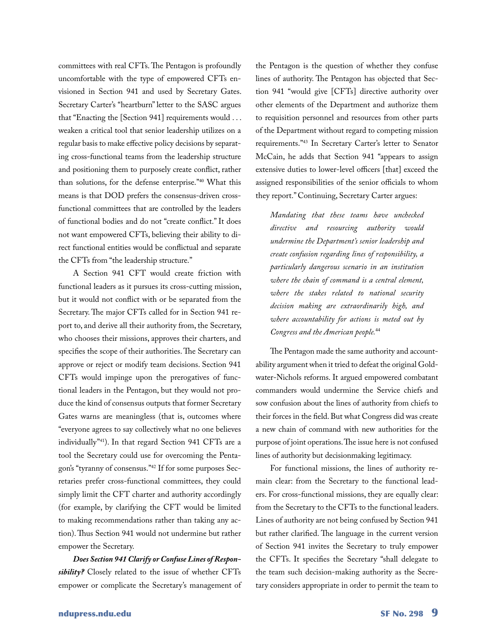committees with real CFTs. The Pentagon is profoundly uncomfortable with the type of empowered CFTs envisioned in Section 941 and used by Secretary Gates. Secretary Carter's "heartburn" letter to the SASC argues that "Enacting the [Section 941] requirements would . . . weaken a critical tool that senior leadership utilizes on a regular basis to make effective policy decisions by separating cross-functional teams from the leadership structure and positioning them to purposely create conflict, rather than solutions, for the defense enterprise."<sup>40</sup> What this means is that DOD prefers the consensus-driven crossfunctional committees that are controlled by the leaders of functional bodies and do not "create conflict." It does not want empowered CFTs, believing their ability to direct functional entities would be conflictual and separate the CFTs from "the leadership structure."

A Section 941 CFT would create friction with functional leaders as it pursues its cross-cutting mission, but it would not conflict with or be separated from the Secretary. The major CFTs called for in Section 941 report to, and derive all their authority from, the Secretary, who chooses their missions, approves their charters, and specifies the scope of their authorities. The Secretary can approve or reject or modify team decisions. Section 941 CFTs would impinge upon the prerogatives of functional leaders in the Pentagon, but they would not produce the kind of consensus outputs that former Secretary Gates warns are meaningless (that is, outcomes where "everyone agrees to say collectively what no one believes individually"41). In that regard Section 941 CFTs are a tool the Secretary could use for overcoming the Pentagon's "tyranny of consensus."<sup>42</sup> If for some purposes Secretaries prefer cross-functional committees, they could simply limit the CFT charter and authority accordingly (for example, by clarifying the CFT would be limited to making recommendations rather than taking any action). Thus Section 941 would not undermine but rather empower the Secretary.

*Does Section 941 Clarify or Confuse Lines of Responsibility?* Closely related to the issue of whether CFTs empower or complicate the Secretary's management of the Pentagon is the question of whether they confuse lines of authority. The Pentagon has objected that Section 941 "would give [CFTs] directive authority over other elements of the Department and authorize them to requisition personnel and resources from other parts of the Department without regard to competing mission requirements."<sup>43</sup> In Secretary Carter's letter to Senator McCain, he adds that Section 941 "appears to assign extensive duties to lower-level officers [that] exceed the assigned responsibilities of the senior officials to whom they report." Continuing, Secretary Carter argues:

*Mandating that these teams have unchecked directive and resourcing authority would undermine the Department's senior leadership and create confusion regarding lines of responsibility, a particularly dangerous scenario in an institution where the chain of command is a central element, where the stakes related to national security decision making are extraordinarily high, and where accountability for actions is meted out by Congress and the American people.*<sup>44</sup>

The Pentagon made the same authority and accountability argument when it tried to defeat the original Goldwater-Nichols reforms. It argued empowered combatant commanders would undermine the Service chiefs and sow confusion about the lines of authority from chiefs to their forces in the field. But what Congress did was create a new chain of command with new authorities for the purpose of joint operations. The issue here is not confused lines of authority but decisionmaking legitimacy.

For functional missions, the lines of authority remain clear: from the Secretary to the functional leaders. For cross-functional missions, they are equally clear: from the Secretary to the CFTs to the functional leaders. Lines of authority are not being confused by Section 941 but rather clarified. The language in the current version of Section 941 invites the Secretary to truly empower the CFTs. It specifies the Secretary "shall delegate to the team such decision-making authority as the Secretary considers appropriate in order to permit the team to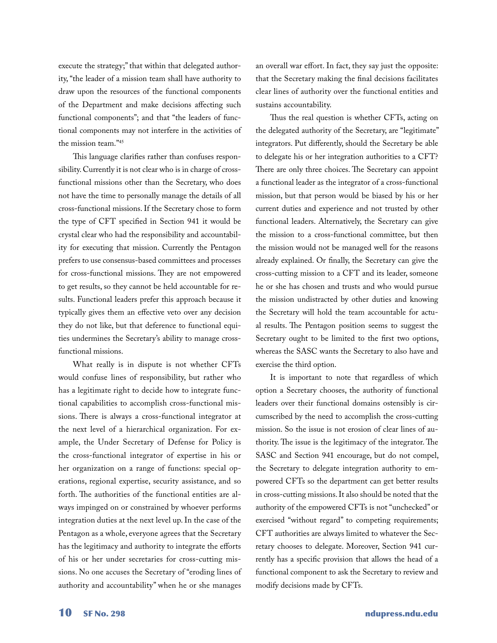execute the strategy;" that within that delegated authority, "the leader of a mission team shall have authority to draw upon the resources of the functional components of the Department and make decisions affecting such functional components"; and that "the leaders of functional components may not interfere in the activities of the mission team."<sup>45</sup>

This language clarifies rather than confuses responsibility. Currently it is not clear who is in charge of crossfunctional missions other than the Secretary, who does not have the time to personally manage the details of all cross-functional missions. If the Secretary chose to form the type of CFT specified in Section 941 it would be crystal clear who had the responsibility and accountability for executing that mission. Currently the Pentagon prefers to use consensus-based committees and processes for cross-functional missions. They are not empowered to get results, so they cannot be held accountable for results. Functional leaders prefer this approach because it typically gives them an effective veto over any decision they do not like, but that deference to functional equities undermines the Secretary's ability to manage crossfunctional missions.

What really is in dispute is not whether CFTs would confuse lines of responsibility, but rather who has a legitimate right to decide how to integrate functional capabilities to accomplish cross-functional missions. There is always a cross-functional integrator at the next level of a hierarchical organization. For example, the Under Secretary of Defense for Policy is the cross-functional integrator of expertise in his or her organization on a range of functions: special operations, regional expertise, security assistance, and so forth. The authorities of the functional entities are always impinged on or constrained by whoever performs integration duties at the next level up. In the case of the Pentagon as a whole, everyone agrees that the Secretary has the legitimacy and authority to integrate the efforts of his or her under secretaries for cross-cutting missions. No one accuses the Secretary of "eroding lines of authority and accountability" when he or she manages

an overall war effort. In fact, they say just the opposite: that the Secretary making the final decisions facilitates clear lines of authority over the functional entities and sustains accountability.

Thus the real question is whether CFTs, acting on the delegated authority of the Secretary, are "legitimate" integrators. Put differently, should the Secretary be able to delegate his or her integration authorities to a CFT? There are only three choices. The Secretary can appoint a functional leader as the integrator of a cross-functional mission, but that person would be biased by his or her current duties and experience and not trusted by other functional leaders. Alternatively, the Secretary can give the mission to a cross-functional committee, but then the mission would not be managed well for the reasons already explained. Or finally, the Secretary can give the cross-cutting mission to a CFT and its leader, someone he or she has chosen and trusts and who would pursue the mission undistracted by other duties and knowing the Secretary will hold the team accountable for actual results. The Pentagon position seems to suggest the Secretary ought to be limited to the first two options, whereas the SASC wants the Secretary to also have and exercise the third option.

It is important to note that regardless of which option a Secretary chooses, the authority of functional leaders over their functional domains ostensibly is circumscribed by the need to accomplish the cross-cutting mission. So the issue is not erosion of clear lines of authority. The issue is the legitimacy of the integrator. The SASC and Section 941 encourage, but do not compel, the Secretary to delegate integration authority to empowered CFTs so the department can get better results in cross-cutting missions. It also should be noted that the authority of the empowered CFTs is not "unchecked" or exercised "without regard" to competing requirements; CFT authorities are always limited to whatever the Secretary chooses to delegate. Moreover, Section 941 currently has a specific provision that allows the head of a functional component to ask the Secretary to review and modify decisions made by CFTs.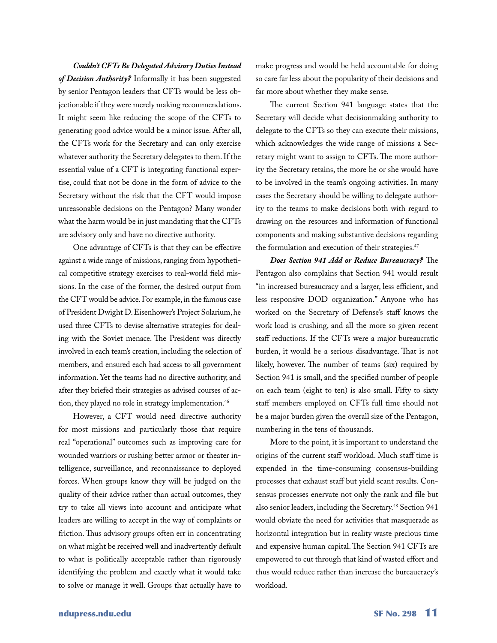*Couldn't CFTs Be Delegated Advisory Duties Instead of Decision Authority?* Informally it has been suggested by senior Pentagon leaders that CFTs would be less objectionable if they were merely making recommendations. It might seem like reducing the scope of the CFTs to generating good advice would be a minor issue. After all, the CFTs work for the Secretary and can only exercise whatever authority the Secretary delegates to them. If the essential value of a CFT is integrating functional expertise, could that not be done in the form of advice to the Secretary without the risk that the CFT would impose unreasonable decisions on the Pentagon? Many wonder what the harm would be in just mandating that the CFTs are advisory only and have no directive authority.

One advantage of CFTs is that they can be effective against a wide range of missions, ranging from hypothetical competitive strategy exercises to real-world field missions. In the case of the former, the desired output from the CFT would be advice. For example, in the famous case of President Dwight D. Eisenhower's Project Solarium, he used three CFTs to devise alternative strategies for dealing with the Soviet menace. The President was directly involved in each team's creation, including the selection of members, and ensured each had access to all government information. Yet the teams had no directive authority, and after they briefed their strategies as advised courses of action, they played no role in strategy implementation.<sup>46</sup>

However, a CFT would need directive authority for most missions and particularly those that require real "operational" outcomes such as improving care for wounded warriors or rushing better armor or theater intelligence, surveillance, and reconnaissance to deployed forces. When groups know they will be judged on the quality of their advice rather than actual outcomes, they try to take all views into account and anticipate what leaders are willing to accept in the way of complaints or friction. Thus advisory groups often err in concentrating on what might be received well and inadvertently default to what is politically acceptable rather than rigorously identifying the problem and exactly what it would take to solve or manage it well. Groups that actually have to

make progress and would be held accountable for doing so care far less about the popularity of their decisions and far more about whether they make sense.

The current Section 941 language states that the Secretary will decide what decisionmaking authority to delegate to the CFTs so they can execute their missions, which acknowledges the wide range of missions a Secretary might want to assign to CFTs. The more authority the Secretary retains, the more he or she would have to be involved in the team's ongoing activities. In many cases the Secretary should be willing to delegate authority to the teams to make decisions both with regard to drawing on the resources and information of functional components and making substantive decisions regarding the formulation and execution of their strategies.<sup>47</sup>

*Does Section 941 Add or Reduce Bureaucracy?* The Pentagon also complains that Section 941 would result "in increased bureaucracy and a larger, less efficient, and less responsive DOD organization." Anyone who has worked on the Secretary of Defense's staff knows the work load is crushing, and all the more so given recent staff reductions. If the CFTs were a major bureaucratic burden, it would be a serious disadvantage. That is not likely, however. The number of teams (six) required by Section 941 is small, and the specified number of people on each team (eight to ten) is also small. Fifty to sixty staff members employed on CFTs full time should not be a major burden given the overall size of the Pentagon, numbering in the tens of thousands.

More to the point, it is important to understand the origins of the current staff workload. Much staff time is expended in the time-consuming consensus-building processes that exhaust staff but yield scant results. Consensus processes enervate not only the rank and file but also senior leaders, including the Secretary.<sup>48</sup> Section 941 would obviate the need for activities that masquerade as horizontal integration but in reality waste precious time and expensive human capital. The Section 941 CFTs are empowered to cut through that kind of wasted effort and thus would reduce rather than increase the bureaucracy's workload.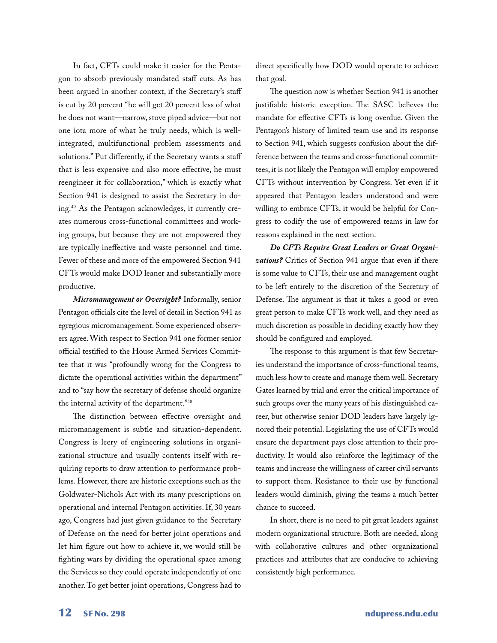In fact, CFTs could make it easier for the Pentagon to absorb previously mandated staff cuts. As has been argued in another context, if the Secretary's staff is cut by 20 percent "he will get 20 percent less of what he does not want—narrow, stove piped advice—but not one iota more of what he truly needs, which is wellintegrated, multifunctional problem assessments and solutions." Put differently, if the Secretary wants a staff that is less expensive and also more effective, he must reengineer it for collaboration," which is exactly what Section 941 is designed to assist the Secretary in doing.<sup>49</sup> As the Pentagon acknowledges, it currently creates numerous cross-functional committees and working groups, but because they are not empowered they are typically ineffective and waste personnel and time. Fewer of these and more of the empowered Section 941 CFTs would make DOD leaner and substantially more productive.

*Micromanagement or Oversight?* Informally, senior Pentagon officials cite the level of detail in Section 941 as egregious micromanagement. Some experienced observers agree. With respect to Section 941 one former senior official testified to the House Armed Services Committee that it was "profoundly wrong for the Congress to dictate the operational activities within the department" and to "say how the secretary of defense should organize the internal activity of the department."<sup>50</sup>

The distinction between effective oversight and micromanagement is subtle and situation-dependent. Congress is leery of engineering solutions in organizational structure and usually contents itself with requiring reports to draw attention to performance problems. However, there are historic exceptions such as the Goldwater-Nichols Act with its many prescriptions on operational and internal Pentagon activities. If, 30 years ago, Congress had just given guidance to the Secretary of Defense on the need for better joint operations and let him figure out how to achieve it, we would still be fighting wars by dividing the operational space among the Services so they could operate independently of one another. To get better joint operations, Congress had to

direct specifically how DOD would operate to achieve that goal.

The question now is whether Section 941 is another justifiable historic exception. The SASC believes the mandate for effective CFTs is long overdue. Given the Pentagon's history of limited team use and its response to Section 941, which suggests confusion about the difference between the teams and cross-functional committees, it is not likely the Pentagon will employ empowered CFTs without intervention by Congress. Yet even if it appeared that Pentagon leaders understood and were willing to embrace CFTs, it would be helpful for Congress to codify the use of empowered teams in law for reasons explained in the next section.

*Do CFTs Require Great Leaders or Great Organizations?* Critics of Section 941 argue that even if there is some value to CFTs, their use and management ought to be left entirely to the discretion of the Secretary of Defense. The argument is that it takes a good or even great person to make CFTs work well, and they need as much discretion as possible in deciding exactly how they should be configured and employed.

The response to this argument is that few Secretaries understand the importance of cross-functional teams, much less how to create and manage them well. Secretary Gates learned by trial and error the critical importance of such groups over the many years of his distinguished career, but otherwise senior DOD leaders have largely ignored their potential. Legislating the use of CFTs would ensure the department pays close attention to their productivity. It would also reinforce the legitimacy of the teams and increase the willingness of career civil servants to support them. Resistance to their use by functional leaders would diminish, giving the teams a much better chance to succeed.

In short, there is no need to pit great leaders against modern organizational structure. Both are needed, along with collaborative cultures and other organizational practices and attributes that are conducive to achieving consistently high performance.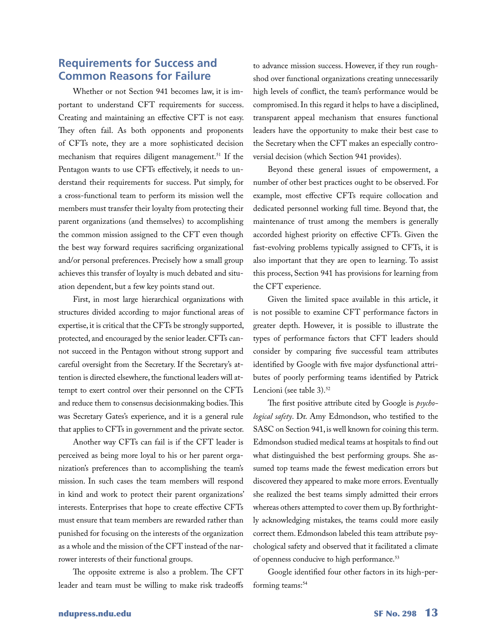#### **Requirements for Success and Common Reasons for Failure**

Whether or not Section 941 becomes law, it is important to understand CFT requirements for success. Creating and maintaining an effective CFT is not easy. They often fail. As both opponents and proponents of CFTs note, they are a more sophisticated decision mechanism that requires diligent management.<sup>51</sup> If the Pentagon wants to use CFTs effectively, it needs to understand their requirements for success. Put simply, for a cross-functional team to perform its mission well the members must transfer their loyalty from protecting their parent organizations (and themselves) to accomplishing the common mission assigned to the CFT even though the best way forward requires sacrificing organizational and/or personal preferences. Precisely how a small group achieves this transfer of loyalty is much debated and situation dependent, but a few key points stand out.

First, in most large hierarchical organizations with structures divided according to major functional areas of expertise, it is critical that the CFTs be strongly supported, protected, and encouraged by the senior leader. CFTs cannot succeed in the Pentagon without strong support and careful oversight from the Secretary. If the Secretary's attention is directed elsewhere, the functional leaders will attempt to exert control over their personnel on the CFTs and reduce them to consensus decisionmaking bodies. This was Secretary Gates's experience, and it is a general rule that applies to CFTs in government and the private sector.

Another way CFTs can fail is if the CFT leader is perceived as being more loyal to his or her parent organization's preferences than to accomplishing the team's mission. In such cases the team members will respond in kind and work to protect their parent organizations' interests. Enterprises that hope to create effective CFTs must ensure that team members are rewarded rather than punished for focusing on the interests of the organization as a whole and the mission of the CFT instead of the narrower interests of their functional groups.

The opposite extreme is also a problem. The CFT leader and team must be willing to make risk tradeoffs

to advance mission success. However, if they run roughshod over functional organizations creating unnecessarily high levels of conflict, the team's performance would be compromised. In this regard it helps to have a disciplined, transparent appeal mechanism that ensures functional leaders have the opportunity to make their best case to the Secretary when the CFT makes an especially controversial decision (which Section 941 provides).

Beyond these general issues of empowerment, a number of other best practices ought to be observed. For example, most effective CFTs require collocation and dedicated personnel working full time. Beyond that, the maintenance of trust among the members is generally accorded highest priority on effective CFTs. Given the fast-evolving problems typically assigned to CFTs, it is also important that they are open to learning. To assist this process, Section 941 has provisions for learning from the CFT experience.

Given the limited space available in this article, it is not possible to examine CFT performance factors in greater depth. However, it is possible to illustrate the types of performance factors that CFT leaders should consider by comparing five successful team attributes identified by Google with five major dysfunctional attributes of poorly performing teams identified by Patrick Lencioni (see table 3).<sup>52</sup>

The first positive attribute cited by Google is *psychological safety*. Dr. Amy Edmondson, who testified to the SASC on Section 941, is well known for coining this term. Edmondson studied medical teams at hospitals to find out what distinguished the best performing groups. She assumed top teams made the fewest medication errors but discovered they appeared to make more errors. Eventually she realized the best teams simply admitted their errors whereas others attempted to cover them up. By forthrightly acknowledging mistakes, the teams could more easily correct them. Edmondson labeled this team attribute psychological safety and observed that it facilitated a climate of openness conducive to high performance.<sup>53</sup>

Google identified four other factors in its high-performing teams:<sup>54</sup>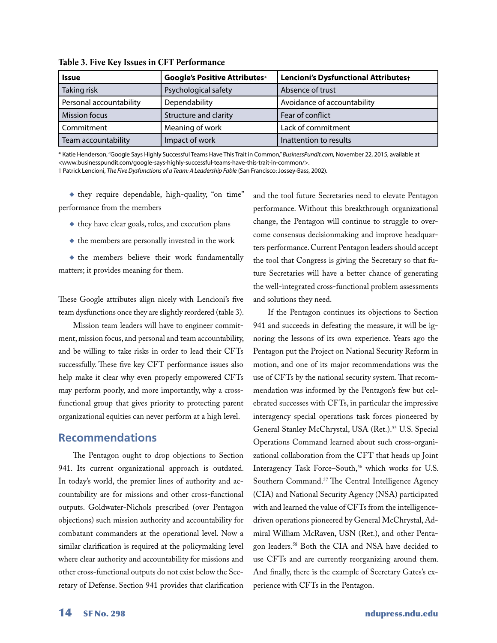| <b>Issue</b>            | <b>Google's Positive Attributes*</b> | Lencioni's Dysfunctional Attributes+ |
|-------------------------|--------------------------------------|--------------------------------------|
| Taking risk             | Psychological safety                 | Absence of trust                     |
| Personal accountability | Dependability                        | Avoidance of accountability          |
| <b>Mission focus</b>    | Structure and clarity                | Fear of conflict                     |
| Commitment              | Meaning of work                      | Lack of commitment                   |
| Team accountability     | Impact of work                       | Inattention to results               |

**Table 3. Five Key Issues in CFT Performance**

\* Katie Henderson, "Google Says Highly Successful Teams Have This Trait in Common," *BusinessPundit.com*, November 22, 2015, available at <www.businesspundit.com/google-says-highly-successful-teams-have-this-trait-in-common/>.

† Patrick Lencioni, *The Five Dysfunctions of a Team: A Leadership Fable* (San Francisco: Jossey-Bass, 2002).

◆ they require dependable, high-quality, "on time" performance from the members

- ◆ they have clear goals, roles, and execution plans
- ◆ the members are personally invested in the work

◆ the members believe their work fundamentally matters; it provides meaning for them.

These Google attributes align nicely with Lencioni's five team dysfunctions once they are slightly reordered (table 3).

Mission team leaders will have to engineer commitment, mission focus, and personal and team accountability, and be willing to take risks in order to lead their CFTs successfully. These five key CFT performance issues also help make it clear why even properly empowered CFTs may perform poorly, and more importantly, why a crossfunctional group that gives priority to protecting parent organizational equities can never perform at a high level.

#### **Recommendations**

The Pentagon ought to drop objections to Section 941. Its current organizational approach is outdated. In today's world, the premier lines of authority and accountability are for missions and other cross-functional outputs. Goldwater-Nichols prescribed (over Pentagon objections) such mission authority and accountability for combatant commanders at the operational level. Now a similar clarification is required at the policymaking level where clear authority and accountability for missions and other cross-functional outputs do not exist below the Secretary of Defense. Section 941 provides that clarification and the tool future Secretaries need to elevate Pentagon performance. Without this breakthrough organizational change, the Pentagon will continue to struggle to overcome consensus decisionmaking and improve headquarters performance. Current Pentagon leaders should accept the tool that Congress is giving the Secretary so that future Secretaries will have a better chance of generating the well-integrated cross-functional problem assessments and solutions they need.

If the Pentagon continues its objections to Section 941 and succeeds in defeating the measure, it will be ignoring the lessons of its own experience. Years ago the Pentagon put the Project on National Security Reform in motion, and one of its major recommendations was the use of CFTs by the national security system. That recommendation was informed by the Pentagon's few but celebrated successes with CFTs, in particular the impressive interagency special operations task forces pioneered by General Stanley McChrystal, USA (Ret.).<sup>55</sup> U.S. Special Operations Command learned about such cross-organizational collaboration from the CFT that heads up Joint Interagency Task Force-South,<sup>56</sup> which works for U.S. Southern Command.<sup>57</sup> The Central Intelligence Agency (CIA) and National Security Agency (NSA) participated with and learned the value of CFTs from the intelligencedriven operations pioneered by General McChrystal, Admiral William McRaven, USN (Ret.), and other Pentagon leaders.58 Both the CIA and NSA have decided to use CFTs and are currently reorganizing around them. And finally, there is the example of Secretary Gates's experience with CFTs in the Pentagon.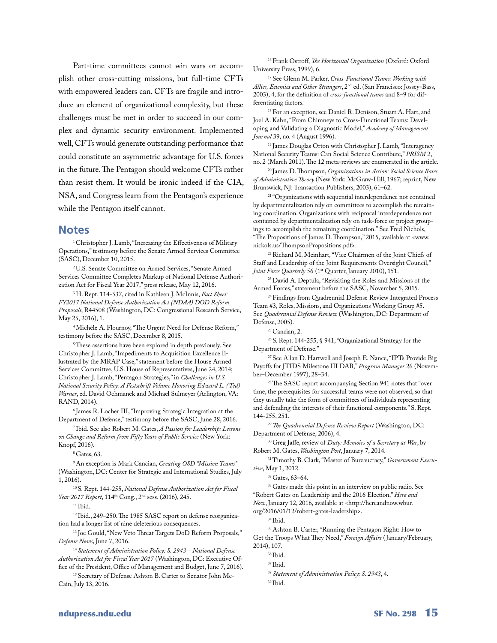Part-time committees cannot win wars or accomplish other cross-cutting missions, but full-time CFTs with empowered leaders can. CFTs are fragile and introduce an element of organizational complexity, but these challenges must be met in order to succeed in our complex and dynamic security environment. Implemented well, CFTs would generate outstanding performance that could constitute an asymmetric advantage for U.S. forces in the future. The Pentagon should welcome CFTs rather than resist them. It would be ironic indeed if the CIA, NSA, and Congress learn from the Pentagon's experience while the Pentagon itself cannot.

#### **Notes**

1 Christopher J. Lamb, "Increasing the Effectiveness of Military Operations," testimony before the Senate Armed Services Committee (SASC), December 10, 2015.

2 U.S. Senate Committee on Armed Services, "Senate Armed Services Committee Completes Markup of National Defense Authorization Act for Fiscal Year 2017," press release, May 12, 2016.

3 H. Rept. 114-537, cited in Kathleen J. McInnis, *Fact Sheet: FY2017 National Defense Authorization Act (NDAA) DOD Reform Proposals*, R44508 (Washington, DC: Congressional Research Service, May 25, 2016), 1.

4 Michèle A. Flournoy, "The Urgent Need for Defense Reform," testimony before the SASC, December 8, 2015.

<sup>5</sup>These assertions have been explored in depth previously. See Christopher J. Lamb, "Impediments to Acquisition Excellence Illustrated by the MRAP Case," statement before the House Armed Services Committee, U.S. House of Representatives, June 24, 2014; Christopher J. Lamb, "Pentagon Strategies," in *Challenges in U.S. National Security Policy: A Festschrift Volume Honoring Edward L. (Ted) Warner*, ed. David Ochmanek and Michael Sulmeyer (Arlington, VA: RAND, 2014).

6 James R. Locher III, "Improving Strategic Integration at the Department of Defense," testimony before the SASC, June 28, 2016.

7 Ibid. See also Robert M. Gates, *A Passion for Leadership: Lessons on Change and Reform from Fifty Years of Public Service* (New York: Knopf, 2016).

8 Gates, 63.

9 An exception is Mark Cancian, *Creating OSD "Mission Teams"* (Washington, DC: Center for Strategic and International Studies, July 1, 2016).

10 S. Rept. 144-255, *National Defense Authorization Act for Fiscal Year 2017 Report*, 114th Cong., 2nd sess. (2016), 245.

 $11$  Ibid.

12 Ibid., 249–250. The 1985 SASC report on defense reorganization had a longer list of nine deleterious consequences.

13 Joe Gould, "New Veto Threat Targets DoD Reform Proposals," *Defense News*, June 7, 2016.

<sup>14</sup>*Statement of Administration Policy: S. 2943—National Defense Authorization Act for Fiscal Year 2017* (Washington, DC: Executive Office of the President, Office of Management and Budget, June 7, 2016).

15 Secretary of Defense Ashton B. Carter to Senator John Mc-Cain, July 13, 2016.

16 Frank Ostroff, *The Horizontal Organization* (Oxford: Oxford University Press, 1999), 6.

17 See Glenn M. Parker, *Cross-Functional Teams: Working with Allies, Enemies and Other Strangers*, 2nd ed. (San Francisco: Jossey-Bass, 2003), 4, for the definition of *cross-functional teams* and 8–9 for differentiating factors.

18 For an exception, see Daniel R. Denison, Stuart A. Hart, and Joel A. Kahn, "From Chimneys to Cross-Functional Teams: Developing and Validating a Diagnostic Model," *Academy of Management Journal* 39, no. 4 (August 1996).

<sup>19</sup> James Douglas Orton with Christopher J. Lamb, "Interagency National Security Teams: Can Social Science Contribute," *PRISM* 2, no. 2 (March 2011). The 12 meta-reviews are enumerated in the article.

20 James D. Thompson, *Organizations in Action: Social Science Bases of Administrative Theory* (New York: McGraw-Hill, 1967; reprint, New Brunswick, NJ: Transaction Publishers, 2003), 61–62.

<sup>21</sup> "Organizations with sequential interdependence not contained by departmentalization rely on committees to accomplish the remaining coordination. Organizations with reciprocal interdependence not contained by departmentalization rely on task-force or project groupings to accomplish the remaining coordination." See Fred Nichols, "The Propositions of James D. Thompson," 2015, available at <www. nickols.us/ThompsonPropositions.pdf>.

22 Richard M. Meinhart, "Vice Chairmen of the Joint Chiefs of Staff and Leadership of the Joint Requirements Oversight Council," Joint Force Quarterly 56 (1<sup>st</sup> Quarter, January 2010), 151.

<sup>23</sup> David A. Deptula, "Revisiting the Roles and Missions of the Armed Forces," statement before the SASC, November 5, 2015.

<sup>24</sup> Findings from Quadrennial Defense Review Integrated Process Team #3, Roles, Missions, and Organizations Working Group #5. See *Quadrennial Defense Review* (Washington, DC: Department of Defense, 2005).

 $25$  Cancian, 2.

26 S. Rept. 144-255, § 941, "Organizational Strategy for the Department of Defense."

<sup>27</sup> See Allan D. Hartwell and Joseph E. Nance, "IPTs Provide Big Payoffs for JTIDS Milestone III DAB," *Program Manager* 26 (November–December 1997), 28–34.

<sup>28</sup> The SASC report accompanying Section 941 notes that "over time, the prerequisites for successful teams were not observed, so that they usually take the form of committees of individuals representing and defending the interests of their functional components." S. Rept. 144-255, 251.

<sup>29</sup>*The Quadrennial Defense Review Report* (Washington, DC: Department of Defense, 2006), 4.

30 Greg Jaffe, review of *Duty: Memoirs of a Secretary at War*, by Robert M. Gates, *Washington Post*, January 7, 2014.

31 Timothy B. Clark, "Master of Bureaucracy," *Government Executive*, May 1, 2012.

32 Gates, 63–64.

<sup>33</sup> Gates made this point in an interview on public radio. See "Robert Gates on Leadership and the 2016 Election," *Here and Now*, January 12, 2016, available at <http://hereandnow.wbur. org/2016/01/12/robert-gates-leadership>.

34 Ibid.

35 Ashton B. Carter, "Running the Pentagon Right: How to Get the Troops What They Need," *Foreign Affairs* ( January/February, 2014), 107.

36 Ibid.

<sup>38</sup>*Statement of Administration Policy: S. 2943*, 4.

39 Ibid.

<sup>37</sup> Ibid.